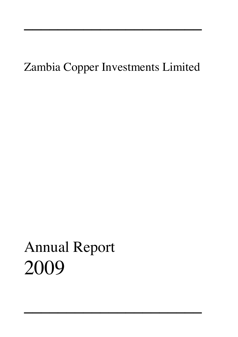## Zambia Copper Investments Limited

─────────────────────

─────────────────────

# Annual Report 2009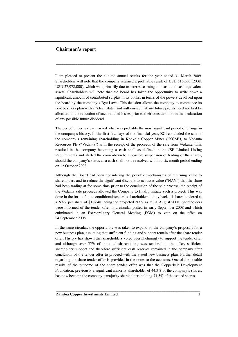#### **Chairman's report**

I am pleased to present the audited annual results for the year ended 31 March 2009. Shareholders will note that the company returned a profitable result of USD 516,000 (2008: USD 27,978,000), which was primarily due to interest earnings on cash and cash equivalent assets. Shareholders will note that the board has taken the opportunity to write down a significant amount of contributed surplus in its books, in terms of the powers devolved upon the board by the company's Bye-Laws. This decision allows the company to commence its new business plan with a "clean slate" and will ensure that any future profits need not first be allocated to the reduction of accumulated losses prior to their consideration in the declaration of any possible future dividend.

**\_\_\_\_\_\_\_\_\_\_\_\_\_\_\_\_\_\_\_\_\_\_\_\_\_\_\_\_\_\_\_\_\_\_\_\_\_\_\_\_\_\_\_\_\_\_\_\_\_\_\_\_\_\_\_\_\_\_\_\_\_\_\_\_\_\_\_\_\_\_\_\_\_\_**

The period under review marked what was probably the most significant period of change in the company's history. In the first few days of the financial year, ZCI concluded the sale of the company's remaining shareholding in Konkola Copper Mines ("KCM"), to Vedanta Resources Plc ("Vedanta") with the receipt of the proceeds of the sale from Vedanta. This resulted in the company becoming a cash shell as defined in the JSE Limited Listing Requirements and started the count-down to a possible suspension of trading of the shares, should the company's status as a cash shell not be resolved within a six month period ending on 12 October 2008.

Although the Board had been considering the possible mechanisms of returning value to shareholders and to reduce the significant discount to net asset value ("NAV") that the share had been trading at for some time prior to the conclusion of the sale process, the receipt of the Vedanta sale proceeds allowed the Company to finally initiate such a project. This was done in the form of an unconditional tender to shareholders to buy back all shares tendered at a NAV per share of \$1.8648, being the projected NAV as at 31 August 2008. Shareholders were informed of the tender offer in a circular posted in early September 2008 and which culminated in an Extraordinary General Meeting (EGM) to vote on the offer on 24 September 2008.

In the same circular, the opportunity was taken to expand on the company's proposals for a new business plan, assuming that sufficient funding and support remain after the share tender offer. History has shown that shareholders voted overwhelmingly to support the tender offer and although over 55% of the total shareholding was tendered in the offer, sufficient shareholder support and therefore sufficient cash reserves remained in the company after conclusion of the tender offer to proceed with the stated new business plan. Further detail regarding the share tender offer is provided in the notes to the accounts. One of the notable results of the outcome of the share tender offer was that the Copperbelt Development Foundation, previously a significant minority shareholder of 44,3% of the company's shares, has now become the company's majority shareholder, holding 71,5% of the issued shares.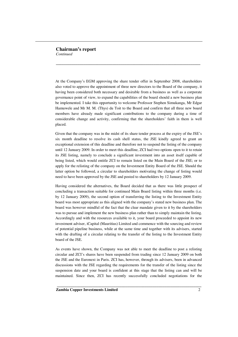## **Chairman's report**

*Continued*

At the Company's EGM approving the share tender offer in September 2008, shareholders also voted to approve the appointment of three new directors to the Board of the company, it having been considered both necessary and desirable from a business as well as a corporate governance point of view, to expand the capabilities of the board should a new business plan be implemented. I take this opportunity to welcome Professor Stephen Simukanga, Mr Edgar Hamuwele and Mr M. M. (Thys) du Toit to the Board and confirm that all three new board members have already made significant contributions to the company during a time of considerable change and activity, confirming that the shareholders' faith in them is well placed.

**\_\_\_\_\_\_\_\_\_\_\_\_\_\_\_\_\_\_\_\_\_\_\_\_\_\_\_\_\_\_\_\_\_\_\_\_\_\_\_\_\_\_\_\_\_\_\_\_\_\_\_\_\_\_\_\_\_\_\_\_\_\_\_\_\_\_\_\_\_\_\_\_\_\_**

Given that the company was in the midst of its share tender process at the expiry of the JSE's six month deadline to resolve its cash shell status, the JSE kindly agreed to grant an exceptional extension of this deadline and therefore not to suspend the listing of the company until 12 January 2009. In order to meet this deadline, ZCI had two options open to it to retain its JSE listing, namely to conclude a significant investment into an asset itself capable of being listed, which would entitle ZCI to remain listed on the Main Board of the JSE; or to apply for the relisting of the company on the Investment Entity Board of the JSE. Should the latter option be followed, a circular to shareholders motivating the change of listing would need to have been approved by the JSE and posted to shareholders by 12 January 2009.

Having considered the alternatives, the Board decided that as there was little prospect of concluding a transaction suitable for continued Main Board listing within three months (i.e. by 12 January 2009), the second option of transferring the listing to the Investment Entity board was most appropriate as this aligned with the company's stated new business plan. The board was however mindful of the fact that the clear mandate given to it by the shareholders was to pursue and implement the new business plan rather than to simply maintain the listing. Accordingly and with the resources available to it, your board proceeded to appoint its new investment adviser, iCapital (Mauritius) Limited and commence with the sourcing and review of potential pipeline business, while at the same time and together with its advisers, started with the drafting of a circular relating to the transfer of the listing to the Investment Entity board of the JSE.

As events have shown, the Company was not able to meet the deadline to post a relisting circular and ZCI's shares have been suspended from trading since 12 January 2009 on both the JSE and the Euronext in Paris. ZCI has, however, through its advisers, been in advanced discussions with the JSE regarding the requirements for the transfer of the listing since the suspension date and your board is confident at this stage that the listing can and will be maintained. Since then, ZCI has recently successfully concluded negotiations for the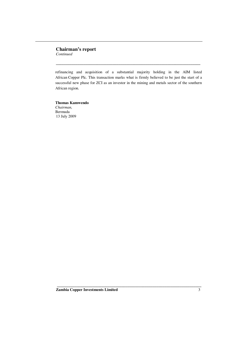#### **Chairman's report** *Continued*

**\_\_\_\_\_\_\_\_\_\_\_\_\_\_\_\_\_\_\_\_\_\_\_\_\_\_\_\_\_\_\_\_\_\_\_\_\_\_\_\_\_\_\_\_\_\_\_\_\_\_\_\_\_\_\_\_\_\_\_\_\_\_\_\_\_\_\_\_\_\_\_\_\_\_**

refinancing and acquisition of a substantial majority holding in the AIM listed African Copper Plc. This transaction marks what is firmly believed to be just the start of a successful new phase for ZCI as an investor in the mining and metals sector of the southern African region.

**Thomas Kamwendo** *Chairman,* Bermuda 13 July 2009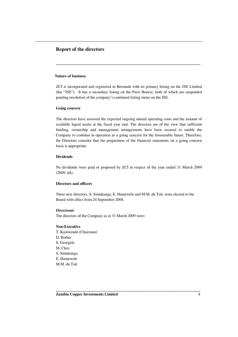#### **Nature of business**

ZCI is incorporated and registered in Bermuda with its primary listing on the JSE Limited (the "JSE"). It has a secondary listing on the Paris Bourse, both of which are suspended pending resolution of the company's continued listing status on the JSE.

**\_\_\_\_\_\_\_\_\_\_\_\_\_\_\_\_\_\_\_\_\_\_\_\_\_\_\_\_\_\_\_\_\_\_\_\_\_\_\_\_\_\_\_\_\_\_\_\_\_\_\_\_\_\_\_\_\_\_\_\_\_\_\_\_\_\_\_\_\_\_\_\_\_\_**

#### **Going concern**

The directors have assessed the expected ongoing annual operating costs and the amount of available liquid assets at the fiscal year end. The directors are of the view that sufficient funding, ownership and management arrangements have been secured to enable the Company to continue in operation as a going concern for the foreseeable future. Therefore, the Directors consider that the preparation of the financial statements on a going concern basis is appropriate.

#### **Dividends**

No dividends were paid or proposed by ZCI in respect of the year ended 31 March 2009 (2008: nil)*.*

#### **Directors and officers**

Three new directors, S. Simukanga, E. Hamuwele and M.M. du Toit, were elected to the Board with effect from 24 September 2008.

**\_\_\_\_\_\_\_\_\_\_\_\_\_\_\_\_\_\_\_\_\_\_\_\_\_\_\_\_\_\_\_\_\_\_\_\_\_\_\_\_\_\_\_\_\_\_\_\_\_\_\_\_\_\_\_\_\_\_\_\_\_\_\_\_\_\_\_\_\_\_\_\_\_\_**

#### *Directorate*

The directors of the Company as at 31 March 2009 were:

#### **Non-Executive**

T. Kamwendo (Chairman) D. Rodier S. Georgala M. Clerc S. Simukanga E. Hamuwele M.M. du Toit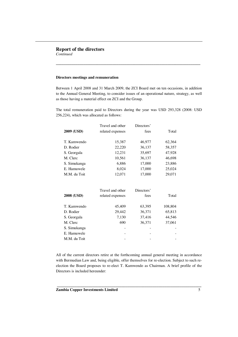*Continued*

#### **Directors meetings and remuneration**

Between 1 April 2008 and 31 March 2009, the ZCI Board met on ten occasions, in addition to the Annual General Meeting, to consider issues of an operational nature, strategy, as well as those having a material effect on ZCI and the Group.

**\_\_\_\_\_\_\_\_\_\_\_\_\_\_\_\_\_\_\_\_\_\_\_\_\_\_\_\_\_\_\_\_\_\_\_\_\_\_\_\_\_\_\_\_\_\_\_\_\_\_\_\_\_\_\_\_\_\_\_\_\_\_\_\_\_\_\_\_\_\_\_\_\_\_**

The total remuneration paid to Directors during the year was USD 293,328 (2008: USD 256,224), which was allocated as follows:

| 2009 (USD)   | Travel and other<br>related expenses | Directors'<br>fees | Total  |
|--------------|--------------------------------------|--------------------|--------|
| T. Kamwendo  | 15,387                               | 46.977             | 62,364 |
| D. Rodier    | 22.220                               | 36,137             | 58,357 |
| S. Georgala  | 12,231                               | 35,697             | 47.928 |
| M. Clerc     | 10,561                               | 36,137             | 46,698 |
| S. Simukanga | 6.886                                | 17,000             | 23.886 |
| E. Hamuwele  | 8.024                                | 17,000             | 25.024 |
| M.M. du Toit | 12.071                               | 17,000             | 29.071 |

|              | Travel and other | Directors' |         |
|--------------|------------------|------------|---------|
| 2008 (USD)   | related expenses | fees       | Total   |
| T. Kamwendo  | 45,409           | 63,395     | 108.804 |
| D. Rodier    | 29.442           | 36.371     | 65,813  |
| S. Georgala  | 7,130            | 37,416     | 44.546  |
| M. Clerc     | 690              | 36.371     | 37,061  |
| S. Simukanga |                  |            |         |
| E. Hamuwele  |                  | ٠          |         |
| M.M. du Toit |                  | ٠          | ٠       |

All of the current directors retire at the forthcoming annual general meeting in accordance with Bermudian Law and, being eligible, offer themselves for re-election. Subject to such reelection the Board proposes to re-elect T. Kamwendo as Chairman. A brief profile of the Directors is included hereunder: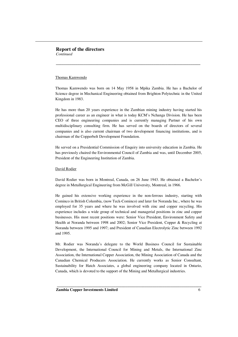*Continued*

#### Thomas Kamwendo

Thomas Kamwendo was born on 14 May 1958 in Mpika Zambia. He has a Bachelor of Science degree in Mechanical Engineering obtained from Brighton Polytechnic in the United Kingdom in 1983.

**\_\_\_\_\_\_\_\_\_\_\_\_\_\_\_\_\_\_\_\_\_\_\_\_\_\_\_\_\_\_\_\_\_\_\_\_\_\_\_\_\_\_\_\_\_\_\_\_\_\_\_\_\_\_\_\_\_\_\_\_\_\_\_\_\_\_\_\_\_\_\_\_\_\_**

He has more than 20 years experience in the Zambian mining industry having started his professional career as an engineer in what is today KCM's Nchanga Division. He has been CEO of three engineering companies and is currently managing Partner of his own multidisciplinary consulting firm. He has served on the boards of directors of several companies and is also current chairman of two development financing institutions, and is chairman of the Copperbelt Development Foundation.

He served on a Presidential Commission of Enquiry into university education in Zambia. He has previously chaired the Environmental Council of Zambia and was, until December 2005, President of the Engineering Institution of Zambia.

#### David Rodier

David Rodier was born in Montreal, Canada, on 26 June 1943. He obtained a Bachelor's degree in Metallurgical Engineering from McGill University, Montreal, in 1966.

He gained his extensive working experience in the non-ferrous industry, starting with Cominco in British Columbia, (now Teck-Cominco) and later for Noranda Inc., where he was employed for 35 years and where he was involved with zinc and copper recycling. His experience includes a wide group of technical and managerial positions in zinc and copper businesses. His most recent positions were: Senior Vice President, Environment Safety and Health at Noranda between 1998 and 2002; Senior Vice President, Copper & Recycling at Noranda between 1995 and 1997; and President of Canadian Electrolytic Zinc between 1992 and 1995.

Mr. Rodier was Noranda's delegate to the World Business Council for Sustainable Development, the International Council for Mining and Metals, the International Zinc Association, the International Copper Association, the Mining Association of Canada and the Canadian Chemical Producers Association. He currently works as Senior Consultant, Sustainability for Hatch Associates, a global engineering company located in Ontario, Canada, which is devoted to the support of the Mining and Metallurgical industries.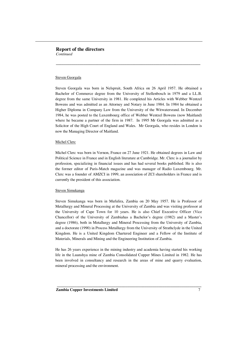*Continued*

#### Steven Georgala

Steven Georgala was born in Nelspruit, South Africa on 26 April 1957. He obtained a Bachelor of Commerce degree from the University of Stellenbosch in 1979 and a LL.B. degree from the same University in 1981. He completed his Articles with Webber Wentzel Bowens and was admitted as an Attorney and Notary in June 1984. In 1984 he obtained a Higher Diploma in Company Law from the University of the Witwatersrand. In December 1984, he was posted to the Luxembourg office of Webber Wentzel Bowens (now Maitland) where he became a partner of the firm in 1987. In 1995 Mr Georgala was admitted as a Solicitor of the High Court of England and Wales. Mr Georgala, who resides in London is now the Managing Director of Maitland.

**\_\_\_\_\_\_\_\_\_\_\_\_\_\_\_\_\_\_\_\_\_\_\_\_\_\_\_\_\_\_\_\_\_\_\_\_\_\_\_\_\_\_\_\_\_\_\_\_\_\_\_\_\_\_\_\_\_\_\_\_\_\_\_\_\_\_\_\_\_\_\_\_\_\_**

#### Michel Clerc

Michel Clerc was born in Vernon, France on 27 June 1921. He obtained degrees in Law and Political Science in France and in English literature at Cambridge. Mr. Clerc is a journalist by profession, specializing in financial issues and has had several books published. He is also the former editor of Paris-Match magazine and was manager of Radio Luxembourg. Mr. Clerc was a founder of AMZCI in 1999, an association of ZCI shareholders in France and is currently the president of this association.

#### Steven Simukanga

Steven Simukanga was born in Mufulira, Zambia on 20 May 1957. He is Professor of Metallurgy and Mineral Processing at the University of Zambia and was visiting professor at the University of Cape Town for 10 years. He is also Chief Executive Officer (Vice Chancellor) of the University of Zambiahas a Bachelor's degree (1982) and a Master's degree (1986), both in Metallurgy and Mineral Processing from the University of Zambia, and a doctorate (1990) in Process Metallurgy from the University of Strathclyde in the United Kingdom. He is a United Kingdom Chartered Engineer and a Fellow of the Institute of Materials, Minerals and Mining and the Engineering Institution of Zambia.

He has 26 years experience in the mining industry and academia having started his working life in the Luanshya mine of Zambia Consolidated Copper Mines Limited in 1982. He has been involved in consultancy and research in the areas of mine and quarry evaluation, mineral processing and the environment.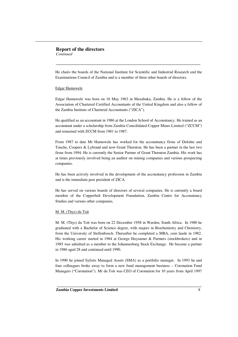#### **Report of the directors** *Continued*

**\_\_\_\_\_\_\_\_\_\_\_\_\_\_\_\_\_\_\_\_\_\_\_\_\_\_\_\_\_\_\_\_\_\_\_\_\_\_\_\_\_\_\_\_\_\_\_\_\_\_\_\_\_\_\_\_\_\_\_\_\_\_\_\_\_\_\_\_\_\_\_\_\_\_** He chairs the boards of the National Institute for Scientific and Industrial Research and the Examinations Council of Zambia and is a member of three other boards of directors.

#### Edgar Hamuwele

Edgar Hamuwele was born on 16 May 1963 in Mazabuka, Zambia. He is a fellow of the Association of Chartered Certified Accountants of the United Kingdom and also a fellow of the Zambia Institute of Chartered Accountants ("ZICA").

He qualified as an accountant in 1986 at the London School of Accountancy. He trained as an accountant under a scholarship from Zambia Consolidated Copper Mines Limited ("ZCCM") and remained with ZCCM from 1981 to 1987.

From 1987 to date Mr Hamuwele has worked for the accountancy firms of Deloitte and Touche, Coopers & Lybrand and now Grant Thornton. He has been a partner in the last two firms from 1994. He is currently the Senior Partner of Grant Thornton Zambia. His work has at times previously involved being an auditor on mining companies and various prospecting companies.

He has been actively involved in the development of the accountancy profession in Zambia and is the immediate past president of ZICA.

He has served on various boards of directors of several companies. He is currently a board member of the Copperbelt Development Foundation, Zambia Centre for Accountancy Studies and various other companies.

#### M. M. (Thys) du Toit

M. M. (Thys) du Toit was born on 22 December 1958 in Warden, South Africa. In 1980 he graduated with a Bachelor of Science degree, with majors in Biochemistry and Chemistry, from the University of Stellenbosch. Thereafter he completed a MBA, cum laude in 1982. His working career started in 1984 at George Huysamer & Partners (stockbrokers) and in 1985 was admitted as a member to the Johannesburg Stock Exchange. He became a partner in 1986 aged 28 and continued until 1990.

In 1990 he joined Syfrets Managed Assets (SMA) as a portfolio manager. In 1993 he and four colleagues broke away to form a new fund management business – Coronation Fund Managers ("Coronation"). Mr du Toit was CEO of Coronation for 10 years from April 1997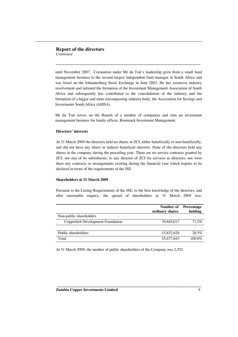#### **Report of the directors** *Continued*

**\_\_\_\_\_\_\_\_\_\_\_\_\_\_\_\_\_\_\_\_\_\_\_\_\_\_\_\_\_\_\_\_\_\_\_\_\_\_\_\_\_\_\_\_\_\_\_\_\_\_\_\_\_\_\_\_\_\_\_\_\_\_\_\_\_\_\_\_\_\_\_\_\_\_** until November 2007. Coronation under Mr du Toit's leadership grew from a small fund management business to the second largest independent fund manager in South Africa and was listed on the Johannesburg Stock Exchange in June 2003. He has extensive industry involvement and initiated the formation of the Investment Management Association of South Africa and subsequently has contributed to the consolidation of the industry and the formation of a bigger and more encompassing industry body, the Association for Savings and Investments South Africa (ASISA).

Mr du Toit serves on the Boards of a number of companies and runs an investment management business for family offices, Rootstock Investment Management.

#### **Directors' interests**

At 31 March 2009 the directors held no shares in ZCI, either beneficially or non-beneficially, and did not have any direct or indirect beneficial interests. None of the directors held any shares in the company during the preceding year. There are no service contracts granted by ZCI, nor any of its subsidiaries, to any director of ZCI for services as directors, nor were there any contracts or arrangements existing during the financial year which require to be declared in terms of the requirements of the JSE.

#### **Shareholders at 31 March 2009**

Pursuant to the Listing Requirements of the JSE, to the best knowledge of the directors, and after reasonable enquiry, the spread of shareholders at 31 March 2009 was:

|                                   | Number of       | Percentage        |
|-----------------------------------|-----------------|-------------------|
|                                   | ordinary shares | holding           |
| Non-public shareholders           |                 |                   |
| Copperbelt Development Foundation | 39.845.017      | 71.5%             |
|                                   |                 |                   |
| Public shareholders               | 15,832,626      | 28.5%             |
| Total                             | 55,677,643      | $1000\frac{q}{q}$ |

**\_\_\_\_\_\_\_\_\_\_\_\_\_\_\_\_\_\_\_\_\_\_\_\_\_\_\_\_\_\_\_\_\_\_\_\_\_\_\_\_\_\_\_\_\_\_\_\_\_\_\_\_\_\_\_\_\_\_\_\_\_\_\_\_\_\_\_\_\_\_\_\_\_\_**

At 31 March 2009, the number of public shareholders of the Company was 2,552.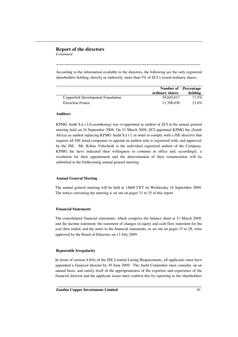*Continued*

According to the information available to the directors, the following are the only registered shareholders holding, directly or indirectly, more than 5% of ZCI's issued ordinary shares:

**\_\_\_\_\_\_\_\_\_\_\_\_\_\_\_\_\_\_\_\_\_\_\_\_\_\_\_\_\_\_\_\_\_\_\_\_\_\_\_\_\_\_\_\_\_\_\_\_\_\_\_\_\_\_\_\_\_\_\_\_\_\_\_\_\_\_\_\_\_\_\_\_\_\_**

|                                   | <b>Number of</b> Percentage |         |
|-----------------------------------|-----------------------------|---------|
|                                   | ordinary shares             | holding |
| Copperbelt Development Foundation | 39,845,017                  | 71.5%   |
| Euroclear France                  | 11.708.030                  | 21.0%   |

#### **Auditors**

KPMG Audit S.à r.l.(Luxembourg) was re-appointed as auditor of ZCI at the annual general meeting held on 24 September 2008. On 31 March 2009, ZCI appointed KPMG Inc (South Africa) as auditor replacing KPMG Audit S.à r.l. in order to comply with a JSE directive that requires all JSE listed companies to appoint an auditor who is registered with, and approved, by the JSE. Mr. Kobus Volschenk is the individual registered auditor of the Company. KPMG Inc have indicated their willingness to continue in office and, accordingly, a resolution for their appointment and the determination of their remuneration will be submitted to the forthcoming annual general meeting.

#### **Annual General Meeting**

The annual general meeting will be held at 14h00 CET on Wednesday 16 September 2009. The notice convening the meeting is set out on pages 31 to 35 of this report.

#### **Financial Statements**

The consolidated financial statements, which comprise the balance sheet at 31 March 2009, and the income statement, the statement of changes in equity and cash flow statement for the year then ended, and the notes to the financial statements, as set out on pages 15 to 28, were approved by the Board of Directors on 13 July 2009.

#### **Reportable Irregularity**

In terms of section 4.8(b) of the JSE Limited Listing Requirements, all applicants must have appointed a financial director by 30 June 2009. The Audit Committee must consider, on an annual basis, and satisfy itself of the appropriateness of the expertise and experience of the financial director and the applicant issuer must confirm this by reporting to the shareholders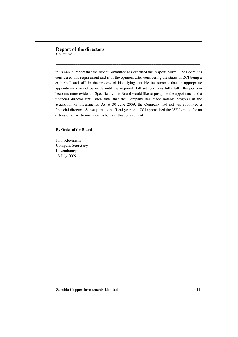#### **Report of the directors** *Continued*

in its annual report that the Audit Committee has executed this responsibility. The Board has considered this requirement and is of the opinion, after considering the status of ZCI being a cash shell and still in the process of identifying suitable investments that an appropriate appointment can not be made until the required skill set to successfully fulfil the position becomes more evident. Specifically, the Board would like to postpone the appointment of a financial director until such time that the Company has made notable progress in the acquisition of investments. As at 30 June 2009, the Company had not yet appointed a financial director. Subsequent to the fiscal year end, ZCI approached the JSE Limited for an extension of six to nine months to meet this requirement.

**\_\_\_\_\_\_\_\_\_\_\_\_\_\_\_\_\_\_\_\_\_\_\_\_\_\_\_\_\_\_\_\_\_\_\_\_\_\_\_\_\_\_\_\_\_\_\_\_\_\_\_\_\_\_\_\_\_\_\_\_\_\_\_\_\_\_\_\_\_\_\_\_\_\_**

**\_\_\_\_\_\_\_\_\_\_\_\_\_\_\_\_\_\_\_\_\_\_\_\_\_\_\_\_\_\_\_\_\_\_\_\_\_\_\_\_\_\_\_\_\_\_\_\_\_\_\_\_\_\_\_\_\_\_\_\_\_\_\_\_\_\_\_\_\_\_\_\_\_\_**

#### **By Order of the Board**

John Kleynhans **Company Secretary Luxembourg** 13 July 2009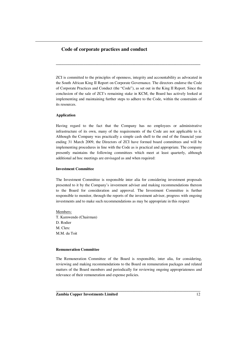#### **Code of corporate practices and conduct**

ZCI is committed to the principles of openness, integrity and accountability as advocated in the South African King II Report on Corporate Governance. The directors endorse the Code of Corporate Practices and Conduct (the "Code"), as set out in the King II Report. Since the conclusion of the sale of ZCI's remaining stake in KCM, the Board has actively looked at implementing and maintaining further steps to adhere to the Code, within the constraints of its resources.

**\_\_\_\_\_\_\_\_\_\_\_\_\_\_\_\_\_\_\_\_\_\_\_\_\_\_\_\_\_\_\_\_\_\_\_\_\_\_\_\_\_\_\_\_\_\_\_\_\_\_\_\_\_\_\_\_\_\_\_\_\_\_\_\_\_\_\_\_\_\_\_\_\_\_**

#### **Application**

Having regard to the fact that the Company has no employees or administrative infrastructure of its own, many of the requirements of the Code are not applicable to it. Although the Company was practically a simple cash shell to the end of the financial year ending 31 March 2009, the Directors of ZCI have formed board committees and will be implementing procedures in line with the Code as is practical and appropriate. The company presently maintains the following committees which meet at least quarterly, although additional ad hoc meetings are envisaged as and when required:

#### **Investment Committee**

The Investment Committee is responsible inter alia for considering investment proposals presented to it by the Company's investment adviser and making recommendations thereon to the Board for consideration and approval. The Investment Committee is further responsible to monitor, through the reports of the investment adviser, progress with ongoing investments and to make such recommendations as may be appropriate in this respect

Members: T. Kamwendo (Chairman) D. Rodier M. Clerc M.M. du Toit

#### **Remuneration Committee**

The Remuneration Committee of the Board is responsible, inter alia, for considering, reviewing and making recommendations to the Board on remuneration packages and related matters of the Board members and periodically for reviewing ongoing appropriateness and relevance of their remuneration and expense policies.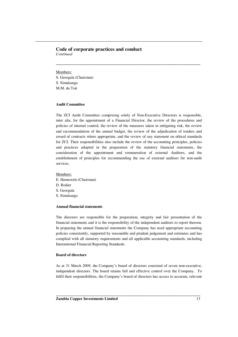#### **Code of corporate practices and conduct** *Continued*

#### Members:

S. Georgala (Chairman) S. Simukanga M.M. du Toit

#### **Audit Committee**

The ZCI Audit Committee comprising solely of Non-Executive Directors is responsible, inter alia, for the appointment of a Financial Director, the review of the procedures and policies of internal control, the review of the measures taken in mitigating risk, the review and recommendation of the annual budget, the review of the adjudication of tenders and award of contracts where appropriate, and the review of any statement on ethical standards for ZCI. Their responsibilities also include the review of the accounting principles, policies and practices adopted in the preparation of the statutory financial statements, the consideration of the appointment and remuneration of external Auditors, and the establishment of principles for recommending the use of external auditors for non-audit services.

**\_\_\_\_\_\_\_\_\_\_\_\_\_\_\_\_\_\_\_\_\_\_\_\_\_\_\_\_\_\_\_\_\_\_\_\_\_\_\_\_\_\_\_\_\_\_\_\_\_\_\_\_\_\_\_\_\_\_\_\_\_\_\_\_\_\_\_\_\_\_\_\_\_\_**

Members:

- E. Hamuwele (Chairman)
- D. Rodier
- S. Georgala
- S. Simukanga

#### **Annual financial statements**

The directors are responsible for the preparation, integrity and fair presentation of the financial statements and it is the responsibility of the independent auditors to report thereon. In preparing the annual financial statements the Company has used appropriate accounting policies consistently, supported by reasonable and prudent judgement and estimates and has complied with all statutory requirements and all applicable accounting standards, including International Financial Reporting Standards.

#### **Board of directors**

As at 31 March 2009, the Company's board of directors consisted of seven non-executive, independent directors. The board retains full and effective control over the Company. To fulfil their responsibilities, the Company's board of directors has access to accurate, relevant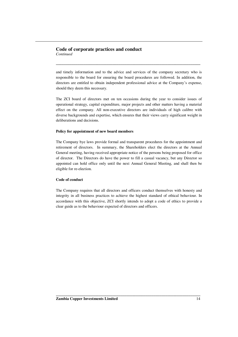## **Code of corporate practices and conduct**

*Continued*

and timely information and to the advice and services of the company secretary who is responsible to the board for ensuring the board procedures are followed. In addition, the directors are entitled to obtain independent professional advice at the Company's expense, should they deem this necessary.

**\_\_\_\_\_\_\_\_\_\_\_\_\_\_\_\_\_\_\_\_\_\_\_\_\_\_\_\_\_\_\_\_\_\_\_\_\_\_\_\_\_\_\_\_\_\_\_\_\_\_\_\_\_\_\_\_\_\_\_\_\_\_\_\_\_\_\_\_\_\_\_\_\_\_**

The ZCI board of directors met on ten occasions during the year to consider issues of operational strategy, capital expenditure, major projects and other matters having a material effect on the company. All non-executive directors are individuals of high calibre with diverse backgrounds and expertise, which ensures that their views carry significant weight in deliberations and decisions.

#### **Policy for appointment of new board members**

The Company bye laws provide formal and transparent procedures for the appointment and retirement of directors. In summary, the Shareholders elect the directors at the Annual General meeting, having received appropriate notice of the persons being proposed for office of director. The Directors do have the power to fill a casual vacancy, but any Director so appointed can hold office only until the next Annual General Meeting, and shall then be eligible for re-election.

#### **Code of conduct**

The Company requires that all directors and officers conduct themselves with honesty and integrity in all business practices to achieve the highest standard of ethical behaviour. In accordance with this objective, ZCI shortly intends to adopt a code of ethics to provide a clear guide as to the behaviour expected of directors and officers.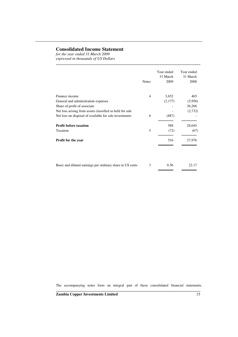## **Consolidated Income Statement**

*for the year ended 31 March 2009*

*expressed in thousands of US Dollars*

|                                                           | <b>Notes</b>   | Year ended<br>31 March<br>2009 | Year ended<br>31 March<br>2008 |
|-----------------------------------------------------------|----------------|--------------------------------|--------------------------------|
| Finance income                                            | $\overline{4}$ | 3,652                          | 465                            |
| General and administration expenses                       |                | (2,177)                        | (5,956)                        |
| Share of profit of associate                              |                |                                | 36,268                         |
| Net loss arising from assets classified as held for sale  |                |                                | (2,732)                        |
| Net loss on disposal of available for sale investments    | 6              | (887)                          |                                |
| <b>Profit before taxation</b>                             |                | 588                            | 28,045                         |
| Taxation                                                  | 5              | (72)                           | (67)                           |
| Profit for the year                                       |                | 516                            | 27,978                         |
|                                                           |                |                                |                                |
| Basic and diluted earnings per ordinary share in US cents | 3              | 0.56                           | 22.17                          |

**\_\_\_\_\_\_\_\_\_\_\_\_\_\_\_\_\_\_\_\_\_\_\_\_\_\_\_\_\_\_\_\_\_\_\_\_\_\_\_\_\_\_\_\_\_\_\_\_\_\_\_\_\_\_\_\_\_\_\_\_\_\_\_\_\_\_\_\_\_\_\_\_\_\_**

The accompanying notes form an integral part of these consolidated financial statements.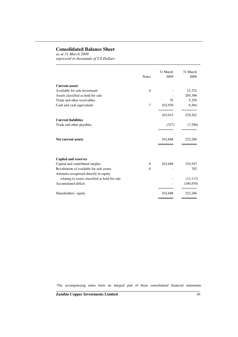## **Consolidated Balance Sheet**

*as at 31 March 2009 expressed in thousands of US Dollars*

|                                                | <b>Notes</b>   | 31 March<br>2009 | 31 March<br>2008 |
|------------------------------------------------|----------------|------------------|------------------|
| <b>Current assets</b>                          |                |                  |                  |
| Available for sale investment                  | 6              |                  | 12,322           |
| Assets classified as held for sale             |                |                  | 205,398          |
| Trade and other receivables                    |                | 76               | 5,258            |
| Cash and cash equivalents                      | $\overline{7}$ | 102,939          | 6,584            |
|                                                |                | 103,015          | 229,562          |
| <b>Current liabilities</b>                     |                |                  |                  |
| Trade and other payables                       |                | (327)            | (7,296)          |
| <b>Net current assets</b>                      |                | 102,688          | 222,266          |
| <b>Capital and reserves</b>                    |                |                  |                  |
| Capital and contributed surplus                | 8              | 102,688          | 334,547          |
| Revaluation of available for sale assets       | 6              |                  | 702              |
| Amounts recognised directly in equity          |                |                  |                  |
| relating to assets classified as held for sale |                |                  | (12, 113)        |
| Accumulated deficit                            |                |                  | (100, 870)       |
| Shareholders' equity                           |                | 102.688          | 222.266          |

**\_\_\_\_\_\_\_\_\_\_\_\_\_\_\_\_\_\_\_\_\_\_\_\_\_\_\_\_\_\_\_\_\_\_\_\_\_\_\_\_\_\_\_\_\_\_\_\_\_\_\_\_\_\_\_\_\_\_\_\_\_\_\_\_\_\_\_\_\_\_\_\_\_\_**

The accompanying notes form an integral part of these consolidated financial statements.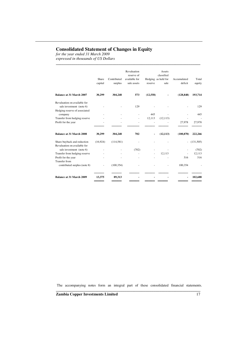# **Consolidated Statement of Changes in Equity** *for the year ended 31 March 2009 expressed in thousands of US Dollars*

|                                                                                           | Share<br>capital | Contributed<br>surplus | Revaluation<br>reserve of<br>available for<br>sale assets | reserve        | Assets<br>classified<br>Hedging as held for<br>sale | Accumulated<br>deficit | Total<br>equity |
|-------------------------------------------------------------------------------------------|------------------|------------------------|-----------------------------------------------------------|----------------|-----------------------------------------------------|------------------------|-----------------|
| <b>Balance at 31 March 2007</b>                                                           | 30.299           | 304.248                | 573                                                       | (12, 558)      |                                                     | (128.848)              | 193,714         |
| Revaluation on available for<br>sale investment (note 6)<br>Hedging reserve of associated |                  |                        | 129                                                       |                |                                                     |                        | 129             |
| company                                                                                   |                  |                        |                                                           | 445            |                                                     |                        | 445             |
| Transfer from hedging reserve                                                             |                  |                        |                                                           | 12.113         | (12, 113)                                           |                        |                 |
| Profit for the year                                                                       |                  |                        |                                                           |                |                                                     | 27,978                 | 27.978          |
| <b>Balance at 31 March 2008</b>                                                           | 30,299           | 304,248                | 702                                                       | ٠              | (12, 113)                                           | (100.870)              | 222,266         |
| Share buyback and reduction<br>Revaluation on available for                               | (16,924)         | (114, 581)             |                                                           |                |                                                     | ٠                      | (131, 505)      |
| sale investment (note 6)                                                                  |                  |                        | (702)                                                     |                |                                                     |                        | (702)           |
| Transfer from hedging reserve                                                             |                  |                        |                                                           | $\overline{a}$ | 12,113                                              |                        | 12.113          |
| Profit for the year                                                                       |                  |                        |                                                           |                |                                                     | 516                    | 516             |
| Transfer from                                                                             |                  |                        |                                                           |                |                                                     |                        |                 |
| contributed surplus (note 8)                                                              |                  | (100, 354)             |                                                           |                |                                                     | 100,354                |                 |
|                                                                                           |                  |                        |                                                           |                |                                                     |                        |                 |
| <b>Balance at 31 March 2009</b>                                                           | 13,375           | 89,313                 |                                                           |                |                                                     |                        | 102,688         |
|                                                                                           |                  |                        |                                                           |                |                                                     |                        |                 |

**\_\_\_\_\_\_\_\_\_\_\_\_\_\_\_\_\_\_\_\_\_\_\_\_\_\_\_\_\_\_\_\_\_\_\_\_\_\_\_\_\_\_\_\_\_\_\_\_\_\_\_\_\_\_\_\_\_\_\_\_\_\_\_\_\_\_\_\_\_\_\_\_\_\_**

The accompanying notes form an integral part of these consolidated financial statements.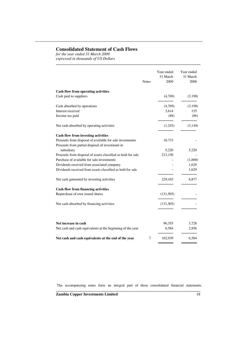## **Consolidated Statement of Cash Flows**

*for the year ended 31 March 2009*

*expressed in thousands of US Dollars*

|                                                              | <b>Notes</b> | Year ended<br>31 March<br>2009 | Year ended<br>31 March<br>2008 |
|--------------------------------------------------------------|--------------|--------------------------------|--------------------------------|
| <b>Cash flow from operating activities</b>                   |              |                                |                                |
| Cash paid to suppliers                                       |              | (4,769)                        | (3,198)                        |
| Cash absorbed by operations                                  |              | (4,769)                        | (3,198)                        |
| Interest received                                            |              | 3,614                          | 135                            |
| Income tax paid                                              |              | (88)                           | (86)                           |
| Net cash absorbed by operating activities                    |              | (1,243)                        | (3,149)                        |
| <b>Cash flow from investing activities</b>                   |              |                                |                                |
| Proceeds from disposal of available for sale investments     |              | 10,733                         |                                |
| Proceeds from partial disposal of investment in              |              |                                |                                |
| subsidiary                                                   |              | 5,220                          | 5,220                          |
| Proceeds from disposal of assets classified as held for sale |              | 213,150                        |                                |
| Purchase of available for sale investments                   |              |                                | (1,600)                        |
| Dividends received from associated company                   |              |                                | 1,628                          |
| Dividends received from assets classified as held for sale   |              |                                | 1,629                          |
| Net cash generated by investing activities                   |              | 229,103                        | 6,877                          |
| <b>Cash flow from financing activities</b>                   |              |                                |                                |
| Repurchase of own issued shares                              |              | (131, 505)                     |                                |
| Net cash absorbed by financing activities                    |              | (131, 505)                     |                                |
|                                                              |              |                                |                                |
| Net increase in cash                                         |              | 96,355                         | 3,728                          |
| Net cash and cash equivalents at the beginning of the year   |              | 6,584                          | 2,856                          |
| Net cash and cash equivalents at the end of the year         | 7            | 102,939                        | 6,584                          |

**\_\_\_\_\_\_\_\_\_\_\_\_\_\_\_\_\_\_\_\_\_\_\_\_\_\_\_\_\_\_\_\_\_\_\_\_\_\_\_\_\_\_\_\_\_\_\_\_\_\_\_\_\_\_\_\_\_\_\_\_\_\_\_\_\_\_\_\_\_\_\_\_\_\_**

The accompanying notes form an integral part of these consolidated financial statements.

**\_\_\_\_\_\_\_\_\_\_\_\_\_\_\_\_\_\_\_\_\_\_\_\_\_\_\_\_\_\_\_\_\_\_\_\_\_\_\_\_\_\_\_\_\_\_\_\_\_\_\_\_\_\_\_\_\_\_\_\_\_\_\_\_\_\_\_\_\_\_\_\_\_\_ Zambia Copper Investments Limited** 18

══════ ══════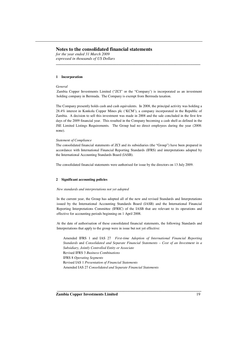*for the year ended 31 March 2009 expressed in thousands of US Dollars*

#### **1 Incorporation**

#### *General*

Zambia Copper Investments Limited ("ZCI" or the "Company') is incorporated as an investment holding company in Bermuda. The Company is exempt from Bermuda taxation.

**\_\_\_\_\_\_\_\_\_\_\_\_\_\_\_\_\_\_\_\_\_\_\_\_\_\_\_\_\_\_\_\_\_\_\_\_\_\_\_\_\_\_\_\_\_\_\_\_\_\_\_\_\_\_\_\_\_\_\_\_\_\_\_\_\_\_\_\_\_\_\_\_\_\_**

The Company presently holds cash and cash equivalents. In 2008, the principal activity was holding a 28.4% interest in Konkola Copper Mines plc ('KCM'), a company incorporated in the Republic of Zambia. A decision to sell this investment was made in 2008 and the sale concluded in the first few days of the 2009 financial year. This resulted in the Company becoming a cash shell as defined in the JSE Limited Listings Requirements. The Group had no direct employees during the year (2008: none).

#### *Statement of Compliance*

The consolidated financial statements of ZCI and its subsidiaries (the "Group") have been prepared in accordance with International Financial Reporting Standards (IFRS) and interpretations adopted by the International Accounting Standards Board (IASB).

The consolidated financial statements were authorised for issue by the directors on 13 July 2009.

#### **2 Significant accounting policies**

#### *New standards and interpretations not yet adopted*

In the current year, the Group has adopted all of the new and revised Standards and Interpretations issued by the International Accounting Standards Board (IASB) and the International Financial Reporting Interpretations Committee (IFRIC) of the IASB that are relevant to its operations and effective for accounting periods beginning on 1 April 2008.

At the date of authorisation of these consolidated financial statements, the following Standards and Interpretations that apply to the group were in issue but not yet effective:

Amended IFRS 1 and IAS 27 *First-time Adoption of International Financial Reporting Standards* and *Consolidated and Separate Financial Statements – Cost of an Investment in a Subsidiary, Jointly Controlled Entity or Associate* Revised IFRS 3 *Business Combinations* IFRS 8 *Operating Segments* Revised IAS 1 *Presentation of Financial Statements* Amended IAS 27 *Consolidated and Separate Financial Statements*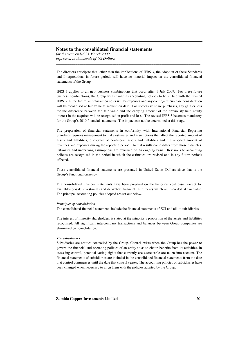*for the year ended 31 March 2009 expressed in thousands of US Dollars*

The directors anticipate that, other than the implications of IFRS 3, the adoption of these Standards and Interpretations in future periods will have no material impact on the consolidated financial statements of the Group.

**\_\_\_\_\_\_\_\_\_\_\_\_\_\_\_\_\_\_\_\_\_\_\_\_\_\_\_\_\_\_\_\_\_\_\_\_\_\_\_\_\_\_\_\_\_\_\_\_\_\_\_\_\_\_\_\_\_\_\_\_\_\_\_\_\_\_\_\_\_\_\_\_\_\_**

IFRS 3 applies to all new business combinations that occur after 1 July 2009. For these future business combinations, the Group will change its accounting policies to be in line with the revised IFRS 3. In the future, all transaction costs will be expenses and any contingent purchase consideration will be recognised at fair value at acquisition date. For successive share purchases, any gain or loss for the difference between the fair value and the carrying amount of the previously held equity interest in the acquiree will be recognised in profit and loss. The revised IFRS 3 becomes mandatory for the Group's 2010 financial statements. The impact can not be determined at this stage.

The preparation of financial statements in conformity with International Financial Reporting Standards requires management to make estimates and assumptions that affect the reported amount of assets and liabilities, disclosure of contingent assets and liabilities and the reported amount of revenues and expenses during the reporting period. Actual results could differ from those estimates. Estimates and underlying assumptions are reviewed on an ongoing basis. Revisions to accounting policies are recognised in the period in which the estimates are revised and in any future periods affected.

These consolidated financial statements are presented in United States Dollars since that is the Group's functional currency.

The consolidated financial statements have been prepared on the historical cost basis, except for available-for-sale investments and derivative financial instruments which are recorded at fair value. The principal accounting policies adopted are set out below.

#### *Principles of consolidation*

The consolidated financial statements include the financial statements of ZCI and all its subsidiaries.

The interest of minority shareholders is stated at the minority's proportion of the assets and liabilities recognised. All significant intercompany transactions and balances between Group companies are eliminated on consolidation.

#### *The subsidiaries*

Subsidiaries are entities controlled by the Group. Control exists when the Group has the power to govern the financial and operating policies of an entity so as to obtain benefits from its activities. In assessing control, potential voting rights that currently are exercisable are taken into account. The financial statements of subsidiaries are included in the consolidated financial statements from the date that control commences until the date that control ceases. The accounting policies of subsidiaries have been changed when necessary to align them with the policies adopted by the Group.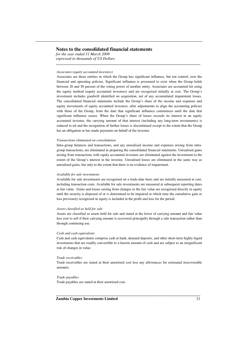*for the year ended 31 March 2009 expressed in thousands of US Dollars*

#### *Associates (equity accounted investees)*

Associates are those entities in which the Group has significant influence, but not control, over the financial and operating policies. Significant influence is presumed to exist when the Group holds between 20 and 50 percent of the voting power of another entity. Associates are accounted for using the equity method (equity accounted investees) and are recognised initially at cost. The Group's investment includes goodwill identified on acquisition, net of any accumulated impairment losses. The consolidated financial statements include the Group's share of the income and expenses and equity movements of equity accounted investees, after adjustments to align the accounting policies with those of the Group, from the date that significant influence commences until the date that significant influence ceases. When the Group's share of losses exceeds its interest in an equity accounted investee, the carrying amount of that interest (including any long-term investments) is reduced to nil and the recognition of further losses is discontinued except to the extent that the Group has an obligation or has made payments on behalf of the investee.

**\_\_\_\_\_\_\_\_\_\_\_\_\_\_\_\_\_\_\_\_\_\_\_\_\_\_\_\_\_\_\_\_\_\_\_\_\_\_\_\_\_\_\_\_\_\_\_\_\_\_\_\_\_\_\_\_\_\_\_\_\_\_\_\_\_\_\_\_\_\_\_\_\_\_**

#### *Transactions eliminated on consolidation*

Intra-group balances and transactions, and any unrealised income and expenses arising from intragroup transactions, are eliminated in preparing the consolidated financial statements. Unrealised gains arising from transactions with equity accounted investees are eliminated against the investment to the extent of the Group's interest in the investee. Unrealised losses are eliminated in the same way as unrealised gains, but only to the extent that there is no evidence of impairment.

#### *Available for sale investments*

Available for sale investments are recognised on a trade-date basis and are initially measured at cost, including transaction costs. Available for sale investments are measured at subsequent reporting dates at fair value. Gains and losses arising from changes in the fair value are recognised directly in equity until the security is disposed of or is determined to be impaired at which time the cumulative gain or loss previously recognised in equity is included in the profit and loss for the period.

#### *Assets classified as held for sale*

Assets are classified as assets held for sale and stated at the lower of carrying amount and fair value less cost to sell if their carrying amount is recovered principally through a sale transaction rather than through continuing use.

#### *Cash and cash equivalents*

Cash and cash equivalents comprise cash at bank, demand deposits, and other short-term highly liquid investments that are readily convertible to a known amount of cash and are subject to an insignificant risk of changes in value.

#### *Trade receivables*

Trade receivables are stated at their amortised cost less any allowances for estimated irrecoverable amounts.

**\_\_\_\_\_\_\_\_\_\_\_\_\_\_\_\_\_\_\_\_\_\_\_\_\_\_\_\_\_\_\_\_\_\_\_\_\_\_\_\_\_\_\_\_\_\_\_\_\_\_\_\_\_\_\_\_\_\_\_\_\_\_\_\_\_\_\_\_\_\_\_\_\_\_**

*Trade payables* Trade payables are stated at their amortised cost.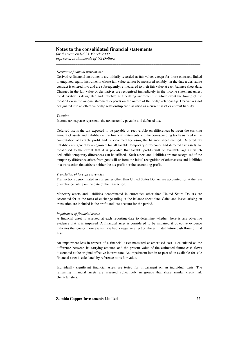*for the year ended 31 March 2009 expressed in thousands of US Dollars*

#### *Derivative financial instruments*

Derivative financial instruments are initially recorded at fair value, except for those contracts linked to unquoted equity instruments whose fair value cannot be measured reliably, on the date a derivative contract is entered into and are subsequently re-measured to their fair value at each balance sheet date. Changes in the fair value of derivatives are recognised immediately in the income statement unless the derivative is designated and effective as a hedging instrument, in which event the timing of the recognition in the income statement depends on the nature of the hedge relationship. Derivatives not designated into an effective hedge relationship are classified as a current asset or current liability.

**\_\_\_\_\_\_\_\_\_\_\_\_\_\_\_\_\_\_\_\_\_\_\_\_\_\_\_\_\_\_\_\_\_\_\_\_\_\_\_\_\_\_\_\_\_\_\_\_\_\_\_\_\_\_\_\_\_\_\_\_\_\_\_\_\_\_\_\_\_\_\_\_\_\_**

#### *Taxation*

Income tax expense represents the tax currently payable and deferred tax.

Deferred tax is the tax expected to be payable or recoverable on differences between the carrying amount of assets and liabilities in the financial statements and the corresponding tax basis used in the computation of taxable profit and is accounted for using the balance sheet method. Deferred tax liabilities are generally recognised for all taxable temporary differences and deferred tax assets are recognised to the extent that it is probable that taxable profits will be available against which deductible temporary differences can be utilised. Such assets and liabilities are not recognised if the temporary difference arises from goodwill or from the initial recognition of other assets and liabilities in a transaction that affects neither the tax profit nor the accounting profit.

#### *Translation of foreign currencies*

Transactions denominated in currencies other than United States Dollars are accounted for at the rate of exchange ruling on the date of the transaction.

Monetary assets and liabilities denominated in currencies other than United States Dollars are accounted for at the rates of exchange ruling at the balance sheet date. Gains and losses arising on translation are included in the profit and loss account for the period.

#### *Impairment of financial assets*

A financial asset is assessed at each reporting date to determine whether there is any objective evidence that it is impaired. A financial asset is considered to be impaired if objective evidence indicates that one or more events have had a negative effect on the estimated future cash flows of that asset.

An impairment loss in respect of a financial asset measured at amortised cost is calculated as the difference between its carrying amount, and the present value of the estimated future cash flows discounted at the original effective interest rate. An impairment loss in respect of an available-for-sale financial asset is calculated by reference to its fair value.

Individually significant financial assets are tested for impairment on an individual basis. The remaining financial assets are assessed collectively in groups that share similar credit risk characteristics.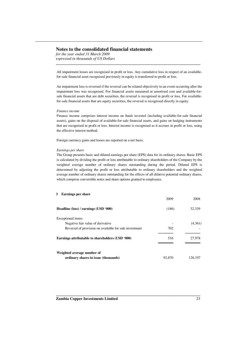*for the year ended 31 March 2009 expressed in thousands of US Dollars*

**\_\_\_\_\_\_\_\_\_\_\_\_\_\_\_\_\_\_\_\_\_\_\_\_\_\_\_\_\_\_\_\_\_\_\_\_\_\_\_\_\_\_\_\_\_\_\_\_\_\_\_\_\_\_\_\_\_\_\_\_\_\_\_\_\_\_\_\_\_\_\_\_\_\_** All impairment losses are recognised in profit or loss. Any cumulative loss in respect of an availablefor-sale financial asset recognised previously in equity is transferred to profit or loss.

An impairment loss is reversed if the reversal can be related objectively to an event occurring after the impairment loss was recognised. For financial assets measured at amortised cost and available-forsale financial assets that are debt securities, the reversal is recognised in profit or loss. For availablefor-sale financial assets that are equity securities, the reversal is recognised directly in equity.

#### *Finance income*

Finance income comprises interest income on funds invested (including available-for-sale financial assets), gains on the disposal of available-for-sale financial assets, and gains on hedging instruments that are recognised in profit or loss. Interest income is recognised as it accrues in profit or loss, using the effective interest method.

Foreign currency gains and losses are reported on a net basis.

#### *Earnings per share*

The Group presents basic and diluted earnings per share (EPS) data for its ordinary shares. Basic EPS is calculated by dividing the profit or loss attributable to ordinary shareholders of the Company by the weighted average number of ordinary shares outstanding during the period. Diluted EPS is determined by adjusting the profit or loss attributable to ordinary shareholders and the weighted average number of ordinary shares outstanding for the effects of all dilutive potential ordinary shares, which comprise convertible notes and share options granted to employees.

#### **3 Earnings per share**

|                                                                    | 2009   | 2008    |
|--------------------------------------------------------------------|--------|---------|
| Headline (loss) / earnings (USD '000)                              | (186)  | 32.339  |
| Exceptional items:                                                 |        |         |
| Negative fair value of derivative                                  |        | (4,361) |
| Reversal of provision on available for sale investment             | 702    |         |
| Earnings attributable to shareholders (USD '000)                   | 516    | 27,978  |
| Weighted average number of<br>ordinary shares in issue (thousands) | 92.870 | 126.197 |
|                                                                    |        |         |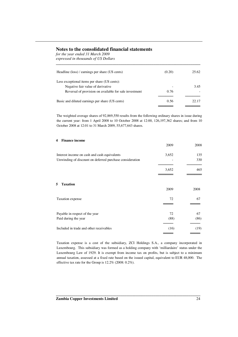*for the year ended 31 March 2009*

*expressed in thousands of US Dollars*

| Headline (loss) / earnings per share (US cents)        | (0.20) | 25.62 |
|--------------------------------------------------------|--------|-------|
| Less exceptional items per share (US cents):           |        |       |
| Negative fair value of derivative                      |        | 3.45  |
| Reversal of provision on available for sale investment | 0.76   |       |
|                                                        |        |       |
| Basic and diluted earnings per share (US cents)        | 0.56   | 22 17 |
|                                                        |        |       |

The weighted average shares of 92,869,550 results from the following ordinary shares in issue during the current year: from 1 April 2008 to 10 October 2008 at 12:00, 126,197,362 shares; and from 10 October 2008 at 12:01 to 31 March 2009, 55,677,643 shares.

#### **4 Finance income**

| Interest income on cash and cash equivalents             | 3,652 | 135  |
|----------------------------------------------------------|-------|------|
| Unwinding of discount on deferred purchase consideration |       | 330  |
|                                                          | 3,652 | 465  |
|                                                          |       |      |
| Taxation<br>5                                            |       |      |
|                                                          | 2009  | 2008 |
| Taxation expense                                         | 72    | 67   |
|                                                          |       |      |
| Payable in respect of the year                           | 72    | 67   |
| Paid during the year                                     | (88)  | (86) |
|                                                          |       |      |
| Included in trade and other receivables                  | (16)  | (19) |
|                                                          |       |      |

Taxation expense is a cost of the subsidiary, ZCI Holdings S.A., a company incorporated in Luxembourg. This subsidiary was formed as a holding company with 'milliardaire' status under the Luxembourg Law of 1929. It is exempt from income tax on profits, but is subject to a minimum annual taxation, assessed at a fixed rate based on the issued capital, equivalent to EUR 48,000. The effective tax rate for the Group is 12.2% (2008: 0.2%).

**\_\_\_\_\_\_\_\_\_\_\_\_\_\_\_\_\_\_\_\_\_\_\_\_\_\_\_\_\_\_\_\_\_\_\_\_\_\_\_\_\_\_\_\_\_\_\_\_\_\_\_\_\_\_\_\_\_\_\_\_\_\_\_\_\_\_\_\_\_\_\_\_\_\_**

2009 2008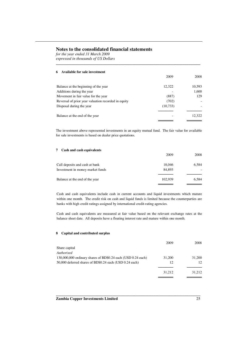*for the year ended 31 March 2009 expressed in thousands of US Dollars*

| <b>Available for sale investment</b><br>6           |           |        |
|-----------------------------------------------------|-----------|--------|
|                                                     | 2009      | 2008   |
| Balance at the beginning of the year                | 12.322    | 10,593 |
| Additions during the year                           |           | 1.600  |
| Movement in fair value for the year                 | (887)     | 129    |
| Reversal of prior year valuation recorded in equity | (702)     |        |
| Disposal during the year                            | (10, 733) |        |
|                                                     |           |        |
| Balance at the end of the year                      |           | 12.322 |
|                                                     |           |        |

**\_\_\_\_\_\_\_\_\_\_\_\_\_\_\_\_\_\_\_\_\_\_\_\_\_\_\_\_\_\_\_\_\_\_\_\_\_\_\_\_\_\_\_\_\_\_\_\_\_\_\_\_\_\_\_\_\_\_\_\_\_\_\_\_\_\_\_\_\_\_\_\_\_\_**

The investment above represented investments in an equity mutual fund. The fair value for available for sale investments is based on dealer price quotations.

#### **7 Cash and cash equivalents**

|                                  | 2009    | 2008  |
|----------------------------------|---------|-------|
| Call deposits and cash at bank   | 18,046  | 6.584 |
| Investment in money market funds | 84,893  |       |
| Balance at the end of the year   | 102.939 | 6.584 |
|                                  |         |       |

Cash and cash equivalents include cash in current accounts and liquid investments which mature within one month. The credit risk on cash and liquid funds is limited because the counterparties are banks with high credit ratings assigned by international credit-rating agencies.

Cash and cash equivalents are measured at fair value based on the relevant exchange rates at the balance sheet date. All deposits have a floating interest rate and mature within one month.

#### **8 Capital and contributed surplus**

|                                                              | 2009   | 2008   |
|--------------------------------------------------------------|--------|--------|
| Share capital                                                |        |        |
| Authorised                                                   |        |        |
| 130,000,000 ordinary shares of BD\$0.24 each (USD 0.24 each) | 31,200 | 31.200 |
| 50,000 deferred shares of BD\$0.24 each (USD 0.24 each)      | 12     | 12     |
|                                                              | 31.212 | 31.212 |
|                                                              |        |        |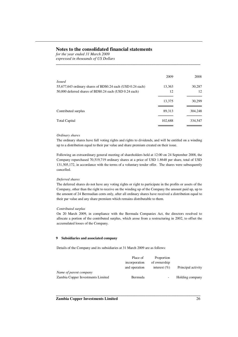*for the year ended 31 March 2009 expressed in thousands of US Dollars*

| 2009    | 2008    |
|---------|---------|
|         |         |
| 13.363  | 30.287  |
| 12      | 12      |
| 13.375  | 30,299  |
| 89.313  | 304,248 |
| 102.688 | 334,547 |
|         |         |

**\_\_\_\_\_\_\_\_\_\_\_\_\_\_\_\_\_\_\_\_\_\_\_\_\_\_\_\_\_\_\_\_\_\_\_\_\_\_\_\_\_\_\_\_\_\_\_\_\_\_\_\_\_\_\_\_\_\_\_\_\_\_\_\_\_\_\_\_\_\_\_\_\_\_**

#### *Ordinary shares*

The ordinary shares have full voting rights and rights to dividends, and will be entitled on a winding up to a distribution equal to their par value and share premium created on their issue.

Following an extraordinary general meeting of shareholders held at 12:00 on 24 September 2008, the Company repurchased 70,519,719 ordinary shares at a price of USD 1.8648 per share, total of USD 131,505,172, in accordance with the terms of a voluntary tender offer. The shares were subsequently cancelled.

#### *Deferred shares*

The deferred shares do not have any voting rights or right to participate in the profits or assets of the Company, other than the right to receive on the winding up of the Company the amount paid up, up to the amount of 24 Bermudian cents only, after all ordinary shares have received a distribution equal to their par value and any share premium which remains distributable to them.

#### *Contributed surplus*

On 20 March 2009, in compliance with the Bermuda Companies Act, the directors resolved to allocate a portion of the contributed surplus, which arose from a restructuring in 2002, to offset the accumulated losses of the Company.

#### **9 Subsidiaries and associated company**

Details of the Company and its subsidiaries at 31 March 2009 are as follows:

|                                   | Place of      | Proportion      |                    |
|-----------------------------------|---------------|-----------------|--------------------|
|                                   | incorporation | of ownership    |                    |
|                                   | and operation | interest $(\%)$ | Principal activity |
| Name of parent company            |               |                 |                    |
| Zambia Copper Investments Limited | Bermuda       | $\sim$          | Holding company    |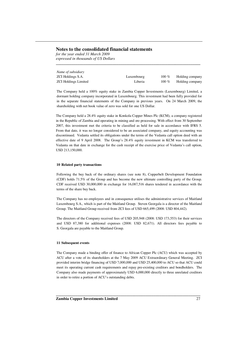*for the year ended 31 March 2009 expressed in thousands of US Dollars*

| Name of subsidiary          |            |         |                 |
|-----------------------------|------------|---------|-----------------|
| ZCI Holdings S.A.           | Luxembourg | $100\%$ | Holding company |
| <b>ZCI Holdings Limited</b> | Liberia    | $100\%$ | Holding company |

**\_\_\_\_\_\_\_\_\_\_\_\_\_\_\_\_\_\_\_\_\_\_\_\_\_\_\_\_\_\_\_\_\_\_\_\_\_\_\_\_\_\_\_\_\_\_\_\_\_\_\_\_\_\_\_\_\_\_\_\_\_\_\_\_\_\_\_\_\_\_\_\_\_\_**

The Company held a 100% equity stake in Zambia Copper Investments (Luxembourg) Limited, a dormant holding company incorporated in Luxembourg. This investment had been fully provided for in the separate financial statements of the Company in previous years. On 24 March 2009, the shareholding with net book value of zero was sold for one US Dollar.

The Company held a 28.4% equity stake in Konkola Copper Mines Plc (KCM), a company registered in the Republic of Zambia and operating in mining and ore processing. With effect from 30 September 2007, this investment met the criteria to be classified as held for sale in accordance with IFRS 5. From that date, it was no longer considered to be an associated company, and equity accounting was discontinued. Vedanta settled its obligations under the terms of the Vedanta call option deed with an effective date of 9 April 2008. The Group's 28.4% equity investment in KCM was transferred to Vedanta on that date in exchange for the cash receipt of the exercise price of Vedanta's call option, USD 213,150,000.

#### **10 Related party transactions**

Following the buy back of the ordinary shares (see note 8), Copperbelt Development Foundation (CDF) holds 71.5% of the Group and has become the new ultimate controlling party of the Group. CDF received USD 30,000,000 in exchange for 16,087,516 shares tendered in accordance with the terms of the share buy back.

The Company has no employees and in consequence utilises the administrative services of Maitland Luxembourg S.A., which is part of the Maitland Group. Steven Georgala is a director of the Maitland Group. The Maitland Group received from ZCI fees of USD 665,499 (2008: USD 804,442).

The directors of the Company received fees of USD 205,948 (2008: USD 173,553) for their services and USD 87,380 for additional expenses (2008: USD 82,671). All directors fees payable to S. Georgala are payable to the Maitland Group.

#### **11 Subsequent events**

The Company made a binding offer of finance to African Copper Plc (ACU) which was accepted by ACU after a vote of its shareholders at the 7 May 2009 ACU Extraordinary General Meeting. ZCI provided interim bridge financing of USD 7,000,000 and USD 25,400,000 to ACU so that ACU could meet its operating current cash requirements and repay pre-existing creditors and bondholders. The Company also made payments of approximately USD 6,000,000 directly to three unrelated creditors in order to retire a portion of ACU's outstanding debts.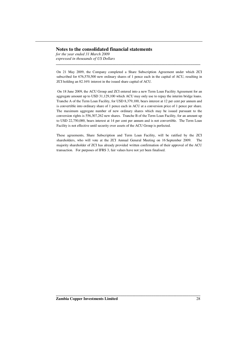*for the year ended 31 March 2009 expressed in thousands of US Dollars*

On 21 May 2009, the Company completed a Share Subscription Agreement under which ZCI subscribed for 676,570,500 new ordinary shares of 1 pence each in the capital of ACU, resulting in ZCI holding an 82.16% interest in the issued share capital of ACU.

**\_\_\_\_\_\_\_\_\_\_\_\_\_\_\_\_\_\_\_\_\_\_\_\_\_\_\_\_\_\_\_\_\_\_\_\_\_\_\_\_\_\_\_\_\_\_\_\_\_\_\_\_\_\_\_\_\_\_\_\_\_\_\_\_\_\_\_\_\_\_\_\_\_\_**

On 18 June 2009, the ACU Group and ZCI entered into a new Term Loan Facility Agreement for an aggregate amount up to USD 31,129,100 which ACU may only use to repay the interim bridge loans. Tranche A of the Term Loan Facility, for USD 8,379,100, bears interest at 12 per cent per annum and is convertible into ordinary share of 1 pence each in ACU at a conversion price of 1 pence per share. The maximum aggregate number of new ordinary shares which may be issued pursuant to the conversion rights is 556,307,262 new shares. Tranche B of the Term Loan Facility, for an amount up to USD 22,750,000, bears interest at 14 per cent per annum and is not convertible. The Term Loan Facility is not effective until security over assets of the ACU Group is perfected.

These agreements, Share Subscription and Term Loan Facility, will be ratified by the ZCI shareholders, who will vote at the ZCI Annual General Meeting on 16 September 2009. The majority shareholder of ZCI has already provided written confirmation of their approval of the ACU transaction. For purposes of IFRS 3, fair values have not yet been finalised.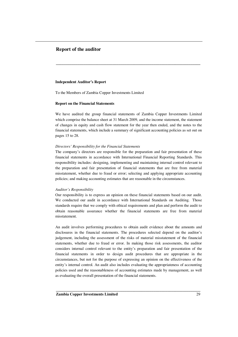#### **Report of the auditor**

#### **Independent Auditor's Report**

To the Members of Zambia Copper Investments Limited

#### **Report on the Financial Statements**

We have audited the group financial statements of Zambia Copper Investments Limited which comprise the balance sheet at 31 March 2009, and the income statement, the statement of changes in equity and cash flow statement for the year then ended, and the notes to the financial statements, which include a summary of significant accounting policies as set out on pages 15 to 28.

**\_\_\_\_\_\_\_\_\_\_\_\_\_\_\_\_\_\_\_\_\_\_\_\_\_\_\_\_\_\_\_\_\_\_\_\_\_\_\_\_\_\_\_\_\_\_\_\_\_\_\_\_\_\_\_\_\_\_\_\_\_\_\_\_\_\_\_\_\_\_\_\_\_\_**

#### *Directors' Responsibility for the Financial Statements*

The company's directors are responsible for the preparation and fair presentation of these financial statements in accordance with International Financial Reporting Standards. This responsibility includes: designing, implementing and maintaining internal control relevant to the preparation and fair presentation of financial statements that are free from material misstatement, whether due to fraud or error; selecting and applying appropriate accounting policies; and making accounting estimates that are reasonable in the circumstances.

#### *Auditor's Responsibility*

Our responsibility is to express an opinion on these financial statements based on our audit. We conducted our audit in accordance with International Standards on Auditing. Those standards require that we comply with ethical requirements and plan and perform the audit to obtain reasonable assurance whether the financial statements are free from material misstatement.

An audit involves performing procedures to obtain audit evidence about the amounts and disclosures in the financial statements. The procedures selected depend on the auditor's judgement, including the assessment of the risks of material misstatement of the financial statements, whether due to fraud or error. In making those risk assessments, the auditor considers internal control relevant to the entity's preparation and fair presentation of the financial statements in order to design audit procedures that are appropriate in the circumstances, but not for the purpose of expressing an opinion on the effectiveness of the entity's internal control. An audit also includes evaluating the appropriateness of accounting policies used and the reasonableness of accounting estimates made by management, as well as evaluating the overall presentation of the financial statements.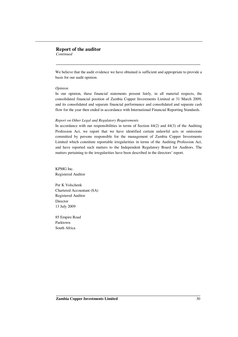#### **Report of the auditor**

*Continued*

**\_\_\_\_\_\_\_\_\_\_\_\_\_\_\_\_\_\_\_\_\_\_\_\_\_\_\_\_\_\_\_\_\_\_\_\_\_\_\_\_\_\_\_\_\_\_\_\_\_\_\_\_\_\_\_\_\_\_\_\_\_\_\_\_\_\_\_\_\_\_\_\_\_\_** We believe that the audit evidence we have obtained is sufficient and appropriate to provide a basis for our audit opinion.

#### *Opinion*

In our opinion, these financial statements present fairly, in all material respects, the consolidated financial position of Zambia Copper Investments Limited at 31 March 2009, and its consolidated and separate financial performance and consolidated and separate cash flow for the year then ended in accordance with International Financial Reporting Standards.

#### *Report on Other Legal and Regulatory Requirements*

In accordance with our responsibilities in terms of Section 44(2) and 44(3) of the Auditing Profession Act, we report that we have identified certain unlawful acts or omissions committed by persons responsible for the management of Zambia Copper Investments Limited which constitute reportable irregularities in terms of the Auditing Profession Act, and have reported such matters to the Independent Regulatory Board for Auditors. The matters pertaining to the irregularities have been described in the directors' report.

**\_\_\_\_\_\_\_\_\_\_\_\_\_\_\_\_\_\_\_\_\_\_\_\_\_\_\_\_\_\_\_\_\_\_\_\_\_\_\_\_\_\_\_\_\_\_\_\_\_\_\_\_\_\_\_\_\_\_\_\_\_\_\_\_\_\_\_\_\_\_\_\_\_\_**

KPMG Inc. Registered Auditor

Per K Volschenk Chartered Accountant (SA) Registered Auditor Director 13 July 2009

85 Empire Road Parktown South Africa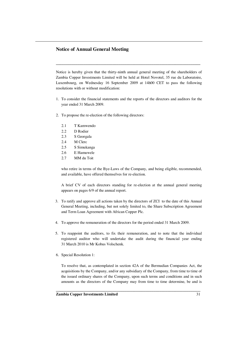### **Notice of Annual General Meeting**

Notice is hereby given that the thirty-ninth annual general meeting of the shareholders of Zambia Copper Investments Limited will be held at Hotel Novotel, 35 rue du Laboratoire, Luxembourg, on Wednesday 16 September 2009 at 14h00 CET to pass the following resolutions with or without modification:

**\_\_\_\_\_\_\_\_\_\_\_\_\_\_\_\_\_\_\_\_\_\_\_\_\_\_\_\_\_\_\_\_\_\_\_\_\_\_\_\_\_\_\_\_\_\_\_\_\_\_\_\_\_\_\_\_\_\_\_\_\_\_\_\_\_\_\_\_\_\_\_\_\_\_**

- 1. To consider the financial statements and the reports of the directors and auditors for the year ended 31 March 2009.
- 2. To propose the re-election of the following directors:
	- 2.1 T Kamwendo
	- 2.2 D Rodier
	- 2.3 S Georgala
	- 2.4 M Clerc
	- 2.5 S Simukanga
	- 2.6 E Hamuwele
	- 2.7 MM du Toit

who retire in terms of the Bye-Laws of the Company, and being eligible, recommended, and available, have offered themselves for re-election.

A brief CV of each directors standing for re-election at the annual general meeting appears on pages 6/9 of the annual report.

- 3. To ratify and approve all actions taken by the directors of ZCI to the date of this Annual General Meeting, including, but not solely limited to, the Share Subscription Agreement and Term Loan Agreement with African Copper Plc.
- 4. To approve the remuneration of the directors for the period ended 31 March 2009.
- 5. To reappoint the auditors, to fix their remuneration, and to note that the individual registered auditor who will undertake the audit during the financial year ending 31 March 2010 is Mr Kobus Volschenk.
- 6. Special Resolution 1:

To resolve that, as contemplated in section 42A of the Bermudian Companies Act, the acquisitions by the Company, and/or any subsidiary of the Company, from time to time of the issued ordinary shares of the Company, upon such terms and conditions and in such amounts as the directors of the Company may from time to time determine, be and is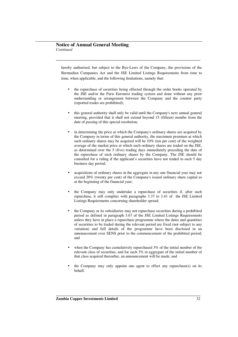hereby authorised, but subject to the Bye-Laws of the Company, the provisions of the Bermudian Companies Act and the JSE Limited Listings Requirements from time to time, when applicable, and the following limitations, namely that:

**\_\_\_\_\_\_\_\_\_\_\_\_\_\_\_\_\_\_\_\_\_\_\_\_\_\_\_\_\_\_\_\_\_\_\_\_\_\_\_\_\_\_\_\_\_\_\_\_\_\_\_\_\_\_\_\_\_\_\_\_\_\_\_\_\_\_\_\_\_\_\_\_\_\_**

- the repurchase of securities being effected through the order books operated by the JSE and/or the Paris Euronext trading system and done without any prior understanding or arrangement between the Company and the counter party (reported trades are prohibited);
- this general authority shall only be valid until the Company's next annual general meeting, provided that it shall not extend beyond 15 (fifteen) months from the date of passing of this special resolution;
- in determining the price at which the Company's ordinary shares are acquired by the Company in terms of this general authority, the maximum premium at which such ordinary shares may be acquired will be 10% (ten per cent) of the weighted average of the market price at which such ordinary shares are traded on the JSE, as determined over the 5 (five) trading days immediately preceding the date of the repurchase of such ordinary shares by the Company. The JSE should be consulted for a ruling if the applicant's securities have not traded in such 5 day business day period;
- acquisitions of ordinary shares in the aggregate in any one financial year may not exceed 20% (twenty per cent) of the Company's issued ordinary share capital as at the beginning of the financial year;
- the Company may only undertake a repurchase of securities if, after such repurchase, it still complies with paragraphs 3.37 to 3.41 of the JSE Limited Listings Requirements concerning shareholder spread;
- the Company or its subsidiaries may not repurchase securities during a prohibited period as defined in paragraph 3.67 of the JSE Limited Listings Requirements unless they have in place a repurchase programme where the dates and quantities of securities to be traded during the relevant period are fixed (not subject to any variation) and full details of the programme have been disclosed in an announcement over SENS prior to the commencement of the prohibited period; and
- when the Company has cumulatively repurchased 3% of the initial number of the relevant class of securities, and for each 3% in aggregate of the initial number of that class acquired thereafter, an announcement will be made; and
- the Company may only appoint one agent to effect any repurchase(s) on its behalf.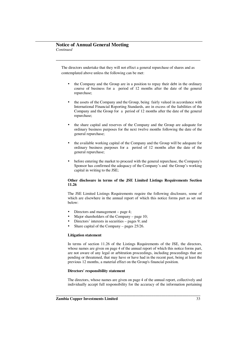**\_\_\_\_\_\_\_\_\_\_\_\_\_\_\_\_\_\_\_\_\_\_\_\_\_\_\_\_\_\_\_\_\_\_\_\_\_\_\_\_\_\_\_\_\_\_\_\_\_\_\_\_\_\_\_\_\_\_\_\_\_\_\_\_\_\_\_\_\_\_\_\_\_\_** The directors undertake that they will not effect a general repurchase of shares and as contemplated above unless the following can be met:

- the Company and the Group are in a position to repay their debt in the ordinary course of business for a period of 12 months after the date of the general repurchase;
- the assets of the Company and the Group, being fairly valued in accordance with International Financial Reporting Standards, are in excess of the liabilities of the Company and the Group for a period of 12 months after the date of the general repurchase;
- the share capital and reserves of the Company and the Group are adequate for ordinary business purposes for the next twelve months following the date of the general repurchase;
- the available working capital of the Company and the Group will be adequate for ordinary business purposes for a period of 12 months after the date of the general repurchase;
- before entering the market to proceed with the general repurchase, the Company's Sponsor has confirmed the adequacy of the Company's and the Group's working capital in writing to the JSE;

#### **Other disclosure in terms of the JSE Limited Listings Requirements Section 11.26**

The JSE Limited Listings Requirements require the following disclosure, some of which are elsewhere in the annual report of which this notice forms part as set out below:

- Directors and management page 4;
- Major shareholders of the Company page 10;
- Directors' interests in securities pages 9; and<br>• Share capital of the Company pages  $25/26$
- Share capital of the Company pages 25/26.

#### **Litigation statement**

In terms of section 11.26 of the Listings Requirements of the JSE, the directors, whose names are given on page 4 of the annual report of which this notice forms part. are not aware of any legal or arbitration proceedings, including proceedings that are pending or threatened, that may have or have had in the recent past, being at least the previous 12 months, a material effect on the Group's financial position.

#### **Directors' responsibility statement**

The directors, whose names are given on page 4 of the annual report, collectively and individually accept full responsibility for the accuracy of the information pertaining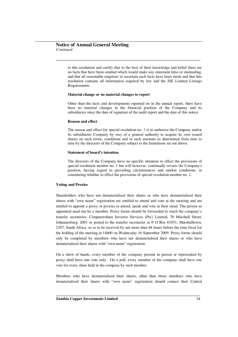#### **Notice of Annual General Meeting** *Continued*

to this resolution and certify that to the best of their knowledge and belief there are no facts that have been omitted which would make any statement false or misleading, and that all reasonable enquiries to ascertain such facts have been made and that this resolution contains all information required by law and the JSE Limited Listings Requirements.

**\_\_\_\_\_\_\_\_\_\_\_\_\_\_\_\_\_\_\_\_\_\_\_\_\_\_\_\_\_\_\_\_\_\_\_\_\_\_\_\_\_\_\_\_\_\_\_\_\_\_\_\_\_\_\_\_\_\_\_\_\_\_\_\_\_\_\_\_\_\_\_\_\_\_**

#### **Material change or no material changes to report**

Other than the facts and developments reported on in the annual report, there have been no material changes in the financial position of the Company and its subsidiaries since the date of signature of the audit report and the date of this notice.

#### **Reason and effect**

The reason and effect for special resolution no. 1 is to authorise the Company and/or its subsidiaries Company by way of a general authority to acquire its own issued shares on such terms, conditions and in such amounts as determined from time to time by the directors of the Company subject to the limitations set out above.

#### **Statement of board's intention**

The directors of the Company have no specific intention to effect the provisions of special resolution number no. 1 but will however, continually review the Company's position, having regard to prevailing circumstances and market conditions, in considering whether to effect the provisions of special resolution number no. 1.

#### **Voting and Proxies**

Shareholders who have not dematerialised their shares or who have dematerialised their shares with "own name" registration are entitled to attend and vote at the meeting and are entitled to appoint a proxy or proxies to attend, speak and vote in their stead. The person so appointed need not be a member. Proxy forms should be forwarded to reach the company's transfer secretaries, Computershare Investor Services (Pty) Limited, 70 Marshall Street, Johannesburg, 2001 or posted to the transfer secretaries at P O Box 61051, Marshalltown, 2107, South Africa, so as to be received by not more than 48 hours before the time fixed for the holding of the meeting at 14h00 on Wednesday 16 September 2009. Proxy forms should only be completed by members who have not dematerialised their shares or who have dematerialised their shares with "own name" registration.

On a show of hands, every member of the company present in person or represented by proxy shall have one vote only. On a poll, every member of the company shall have one vote for every share held in the company by such member.

Members who have dematerialised their shares, other than those members who have dematerialised their shares with "own name" registration should contact their Central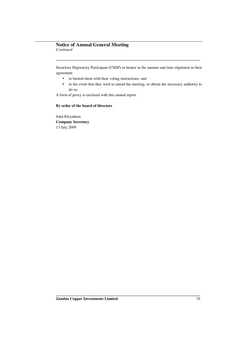## **Notice of Annual General Meeting**

*Continued*

**\_\_\_\_\_\_\_\_\_\_\_\_\_\_\_\_\_\_\_\_\_\_\_\_\_\_\_\_\_\_\_\_\_\_\_\_\_\_\_\_\_\_\_\_\_\_\_\_\_\_\_\_\_\_\_\_\_\_\_\_\_\_\_\_\_\_\_\_\_\_\_\_\_\_** Securities Depository Participant (CSDP) or broker in the manner and time stipulated in their agreement:

- to furnish them with their voting instructions; and
- in the event that they wish to attend the meeting, to obtain the necessary authority to do so.

A form of proxy is enclosed with this annual report.

#### **By order of the board of directors**

John Kleynhans **Company Secretary** 13 July 2009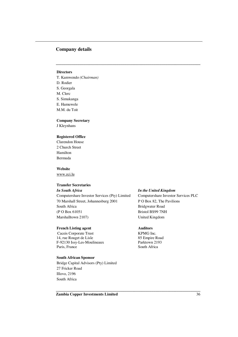### **Company details**

#### **Directors**

T. Kamwendo *(Chairman)* D. Rodier S. Georgala M. Clerc S. Simukanga E. Hamuwele M.M. du Toit

#### **Company Secretary**

J Kleynhans

#### **Registered Office**

Clarendon House 2 Church Street Hamilton Bermuda

#### **Website**

www.zci.lu

#### **Transfer Secretaries**

*In South Africa In the United Kingdom* Computershare Investor Services (Pty) Limited Computershare Investor Services PLC 70 Marshall Street, Johannesburg 2001 P O Box 82, The Pavilions South Africa Bridgwater Road (P O Box 61051 Bristol BS99 7NH Marshalltown 2107) United Kingdom

#### **French Listing agent Auditors**

Caceis Corporate Trust<br>
14. rue Rouget de Lisle<br>
25 Empire Road<br>
15. 85 Empire Road 14, rue Rouget de Lisle 85 Empire Road<br>
F-92130 Issy-Les-Moulineaux Parktown 2193 F-92130 Issy-Les-Moulineaux Parktown 219<br>Paris France South Africa Paris, France

#### **South African Sponsor**

Bridge Capital Advisors (Pty) Limited 27 Fricker Road Illovo, 2196 South Africa

**\_\_\_\_\_\_\_\_\_\_\_\_\_\_\_\_\_\_\_\_\_\_\_\_\_\_\_\_\_\_\_\_\_\_\_\_\_\_\_\_\_\_\_\_\_\_\_\_\_\_\_\_\_\_\_\_\_\_\_\_\_\_\_\_\_\_\_\_\_\_\_\_\_\_**

**\_\_\_\_\_\_\_\_\_\_\_\_\_\_\_\_\_\_\_\_\_\_\_\_\_\_\_\_\_\_\_\_\_\_\_\_\_\_\_\_\_\_\_\_\_\_\_\_\_\_\_\_\_\_\_\_\_\_\_\_\_\_\_\_\_\_\_\_\_\_\_\_\_\_**

**Zambia Copper Investments Limited** 36